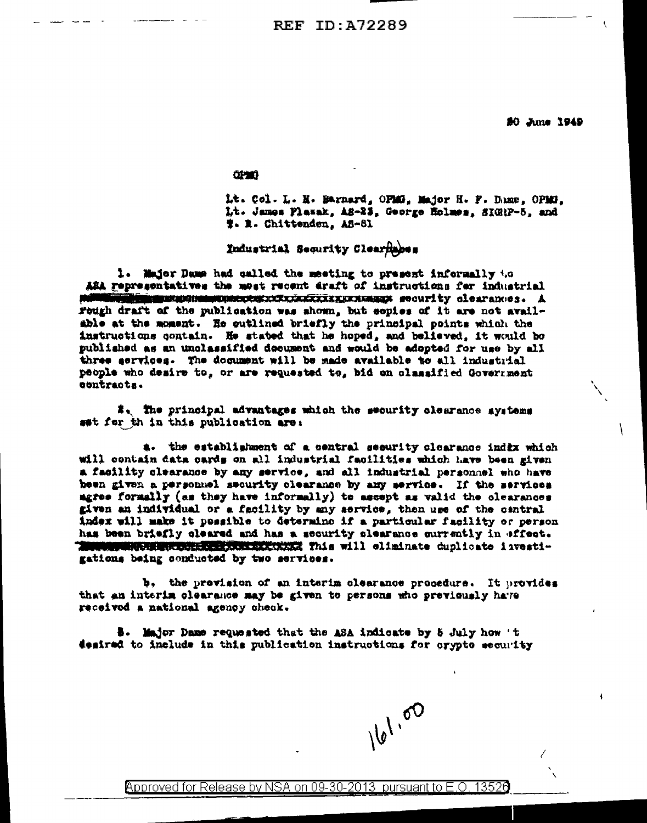80 June 1949

ł

**CIPARE** 

Lt. Col. L. H. Barnard, OPMS, Major H. F. Dame, OPMS, Lt. James Plazak, AS-23, George Holmes, SIGNP-5, and W. R. Chittenden, AS-81

Industrial Security Clear hapes

1. Major Dame had called the meeting to present informally to ASA representatives the most recent draft of instructions for industrial **importuninant and concentration of the concentration of the concentration** of the second of the second second second second second second second second second second second second second second second second second second Fough draft of the publication was shown, but eopies of it are not available at the moment. He outlined briefly the principal points which the instructions contain. He stated that he hoped, and believed, it would be published as an unclassified decument and would be adopted for use by all three services. The document will be made available to all industrial people who desire to, or are requested to, bid on classified Government contracts.

#, The principal advantages which the security clearance systems sat for th in this publication are:

a. the establishment of a central security clearance indix which will contain data cards on all industrial facilities which have been given a facility clearance by any service, and all industrial personnel who have heen given a personnel security clearance by any service. If the services agree formally (as they have informally) to ascept as valid the olearances given an individual or a facility by any service, then use of the cantral index will make it possible to determine if a particular facility or person has been briefly cleared and has a security clearance currently in offect. **MARINA ANTE DESCRIPTION AND ARREST This will climinate duplicate investi**gations being conducted by two services.

b, the provision of an interim clearance procedure. It provides that an interim clearance may be given to persons who previously have received a national agency check.

\$. Major Dame requested that the ASA indicate by 5 July how 't desired to include in this publication instructions for orypto security

161.00

Approved for Release by NSA on 09-30-2013 pursuant to E.O. 13526